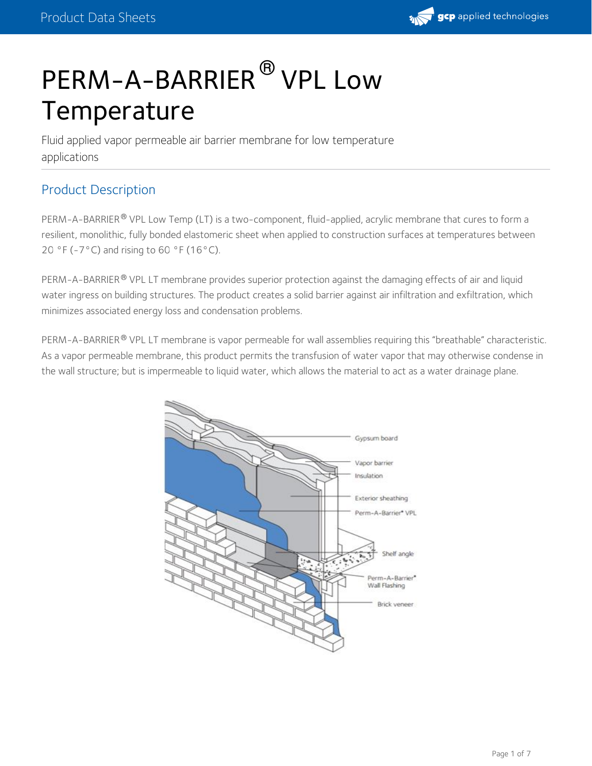

# PERM-A-BARRIER<sup>®</sup> VPL Low Temperature

Fluid applied vapor permeable air barrier membrane for low temperature applications

## Product Description

PERM-A-BARRIER® VPL Low Temp (LT) is a two-component, fluid-applied, acrylic membrane that cures to form a resilient, monolithic, fully bonded elastomeric sheet when applied to construction surfaces at temperatures between 20 °F (-7°C) and rising to 60 °F (16°C).

PERM-A-BARRIER® VPL LT membrane provides superior protection against the damaging effects of air and liquid water ingress on building structures. The product creates a solid barrier against air infiltration and exfiltration, which minimizes associated energy loss and condensation problems.

PERM-A-BARRIER ® VPL LT membrane is vapor permeable for wall assemblies requiring this "breathable" characteristic. As a vapor permeable membrane, this product permits the transfusion of water vapor that may otherwise condense in the wall structure; but is impermeable to liquid water, which allows the material to act as a water drainage plane.

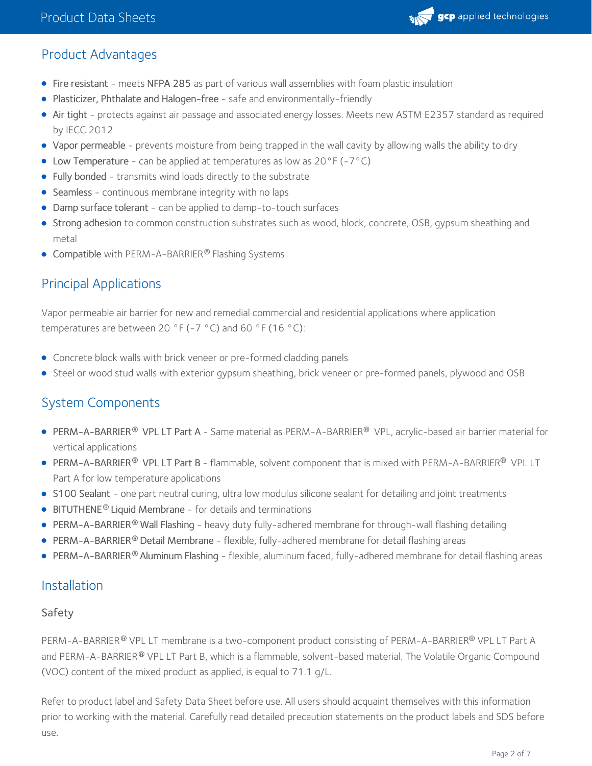

## Product Advantages

- Fire resistant meets NFPA 285 as part of various wall assemblies with foam plastic insulation
- Plasticizer, Phthalate and Halogen-free safe and environmentally-friendly
- Air tight protects against air passage and associated energy losses. Meets new ASTM E2357 standard as required by IECC 2012
- Vapor permeable prevents moisture from being trapped in the wall cavity by allowing walls the ability to dry
- Low Temperature can be applied at temperatures as low as  $20^{\circ}F(-7^{\circ}C)$
- Fully bonded transmits wind loads directly to the substrate
- Seamless continuous membrane integrity with no laps
- Damp surface tolerant can be applied to damp-to-touch surfaces
- **Strong adhesion** to common construction substrates such as wood, block, concrete, OSB, gypsum sheathing and metal
- Compatible with PERM-A-BARRIER® Flashing Systems

## Principal Applications

Vapor permeable air barrier for new and remedial commercial and residential applications where application temperatures are between 20 °F (-7 °C) and 60 °F (16 °C):

- Concrete block walls with brick veneer or pre-formed cladding panels
- Steel or wood stud walls with exterior gypsum sheathing, brick veneer or pre-formed panels, plywood and OSB

## System Components

- PERM-A-BARRIER® VPL LT Part A Same material as PERM-A-BARRIER® VPL, acrylic-based air barrier material for vertical applications
- **PERM-A-BARRIER® VPL LT Part B** flammable, solvent component that is mixed with PERM-A-BARRIER® VPL LT Part A for low temperature applications
- S100 [Sealant](https://gcpat.com/solutions/products/perm-a-barrier-air-barrier-system/perm-a-barrier-s100-sealant) one part neutral curing, ultra low modulus silicone sealant for detailing and joint treatments
- $\bullet$  [BITUTHENE](https://gcpat.com/solutions/products/bituthene-post-applied-waterproofing/bituthene-liquid-membrane)<sup>®</sup> Liquid Membrane for details and terminations
- [PERM-A-BARRIER](https://gcpat.com/solutions/products/perm-a-barrier-air-barrier-system/perm-a-barrier-wall-flashing) Wall Flashing heavy duty fully-adhered membrane for through-wall flashing detailing **®**
- **[PERM-A-BARRIER](https://gcpat.com/solutions/products/perm-a-barrier-air-barrier-system/perm-a-barrier-detail-membrane)® Detail Membrane flexible, fully-adhered membrane for detail flashing areas**
- **[PERM-A-BARRIER](https://gcpat.com/solutions/products/perm-a-barrier-air-barrier-system/perm-a-barrier-aluminum-flashing)<sup>®</sup> Aluminum Flashing -** flexible, aluminum faced, fully-adhered membrane for detail flashing areas

#### Installation

#### Safety

PERM-A-BARRIER® VPL LT membrane is a two-component product consisting of PERM-A-BARRIER® VPL LT Part A and PERM-A-BARRIER® VPL LT Part B, which is a flammable, solvent-based material. The Volatile Organic Compound (VOC) content of the mixed product as applied, is equal to 71.1 g/L.

Refer to product label and Safety Data Sheet before use. All users should acquaint themselves with this information prior to working with the material. Carefully read detailed precaution statements on the product labels and SDS before use.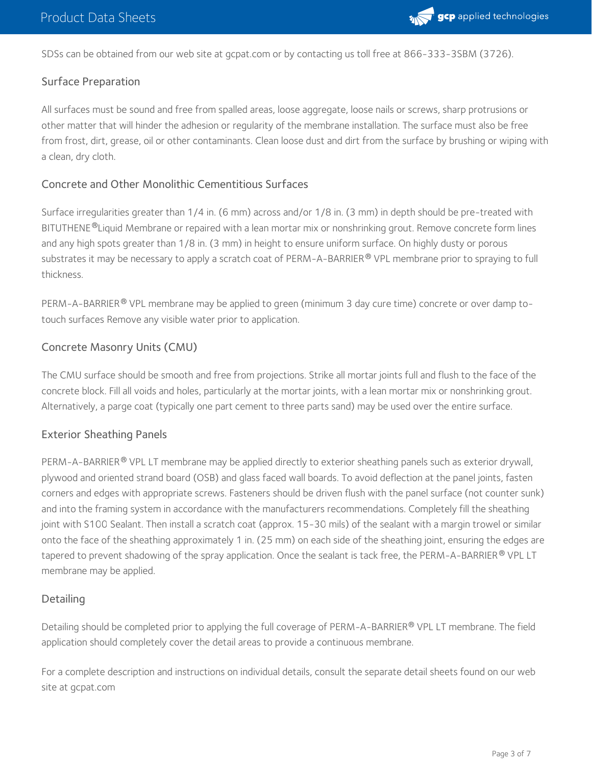

SDSs can be obtained from our web site at gcpat.com or by contacting us toll free at 866-333-3SBM (3726).

#### Surface Preparation

All surfaces must be sound and free from spalled areas, loose aggregate, loose nails or screws, sharp protrusions or other matter that will hinder the adhesion or regularity of the membrane installation. The surface must also be free from frost, dirt, grease, oil or other contaminants. Clean loose dust and dirt from the surface by brushing or wiping with a clean, dry cloth.

#### Concrete and Other Monolithic Cementitious Surfaces

Surface irregularities greater than 1/4 in. (6 mm) across and/or 1/8 in. (3 mm) in depth should be pre-treated with BITUTHENE®Liquid Membrane or repaired with a lean mortar mix or nonshrinking grout. Remove concrete form lines and any high spots greater than 1/8 in. (3 mm) in height to ensure uniform surface. On highly dusty or porous substrates it may be necessary to apply a scratch coat of PERM-A-BARRIER® VPL membrane prior to spraying to full thickness.

PERM-A-BARRIER® VPL membrane may be applied to green (minimum 3 day cure time) concrete or over damp totouch surfaces Remove any visible water prior to application.

#### Concrete Masonry Units (CMU)

The CMU surface should be smooth and free from projections. Strike all mortar joints full and flush to the face of the concrete block. Fill all voids and holes, particularly at the mortar joints, with a lean mortar mix or nonshrinking grout. Alternatively, a parge coat (typically one part cement to three parts sand) may be used over the entire surface.

#### Exterior Sheathing Panels

PERM-A-BARRIER® VPL LT membrane may be applied directly to exterior sheathing panels such as exterior drywall, plywood and oriented strand board (OSB) and glass faced wall boards. To avoid deflection at the panel joints, fasten corners and edges with appropriate screws. Fasteners should be driven flush with the panel surface (not counter sunk) and into the framing system in accordance with the manufacturers recommendations. Completely fill the sheathing joint with S100 Sealant. Then install a scratch coat (approx. 15-30 mils) of the sealant with a margin trowel or similar onto the face of the sheathing approximately 1 in. (25 mm) on each side of the sheathing joint, ensuring the edges are tapered to prevent shadowing of the spray application. Once the sealant is tack free, the PERM-A-BARRIER® VPL LT membrane may be applied.

#### **Detailing**

Detailing should be completed prior to applying the full coverage of PERM-A-BARRIER® VPL LT membrane. The field application should completely cover the detail areas to provide a continuous membrane.

For a complete description and instructions on individual details, consult the separate detail sheets found on our web site at gcpat.com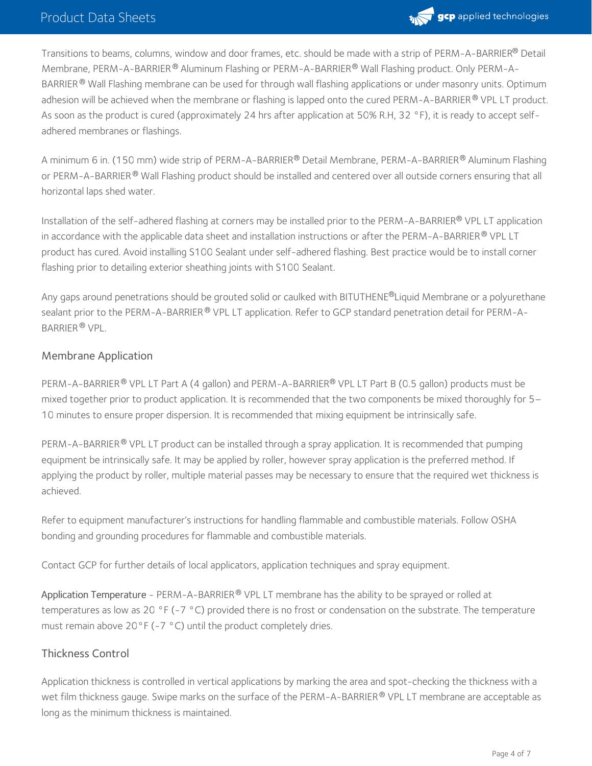

Transitions to beams, columns, window and door frames, etc. should be made with a strip of PERM-A-BARRIER® Detail Membrane, PERM-A-BARRIER® Aluminum Flashing or PERM-A-BARRIER® Wall Flashing product. Only PERM-A-BARRIER ® Wall Flashing membrane can be used for through wall flashing applications or under masonry units. Optimum adhesion will be achieved when the membrane or flashing is lapped onto the cured PERM-A-BARRIER ® VPL LT product. As soon as the product is cured (approximately 24 hrs after application at 50% R.H, 32 °F), it is ready to accept selfadhered membranes or flashings.

A minimum 6 in. (150 mm) wide strip of PERM-A-BARRIER® Detail Membrane, PERM-A-BARRIER® Aluminum Flashing or PERM-A-BARRIER® Wall Flashing product should be installed and centered over all outside corners ensuring that all horizontal laps shed water.

Installation of the self-adhered flashing at corners may be installed prior to the PERM-A-BARRIER® VPL LT application in accordance with the applicable data sheet and installation instructions or after the <code>PERM-A-BARRIER®</code> VPL LT product has cured. Avoid installing S100 Sealant under self-adhered flashing. Best practice would be to install corner flashing prior to detailing exterior sheathing joints with S100 Sealant.

Any gaps around penetrations should be grouted solid or caulked with BITUTHENE®Liquid Membrane or a polyurethane sealant prior to the PERM-A-BARRIER  $^\circ$  VPL LT application. Refer to GCP standard penetration detail for PERM-A-BARRIER ® VPL.

#### Membrane Application

PERM-A-BARRIER® VPL LT Part A (4 gallon) and PERM-A-BARRIER® VPL LT Part B (0.5 gallon) products must be mixed together prior to product application. It is recommended that the two components be mixed thoroughly for 5– 10 minutes to ensure proper dispersion. It is recommended that mixing equipment be intrinsically safe.

PERM-A-BARRIER® VPL LT product can be installed through a spray application. It is recommended that pumping equipment be intrinsically safe. It may be applied by roller, however spray application is the preferred method. If applying the product by roller, multiple material passes may be necessary to ensure that the required wet thickness is achieved.

Refer to equipment manufacturer's instructions for handling flammable and combustible materials. Follow OSHA bonding and grounding procedures for flammable and combustible materials.

Contact GCP for further details of local applicators, application techniques and spray equipment.

Application Temperature - PERM-A-BARRIER® VPL LT membrane has the ability to be sprayed or rolled at temperatures as low as 20 °F (-7 °C) provided there is no frost or condensation on the substrate. The temperature must remain above 20°F (-7 °C) until the product completely dries.

#### Thickness Control

Application thickness is controlled in vertical applications by marking the area and spot-checking the thickness with a wet film thickness gauge. Swipe marks on the surface of the PERM-A-BARRIER  $^\circ$  VPL LT membrane are acceptable as long as the minimum thickness is maintained.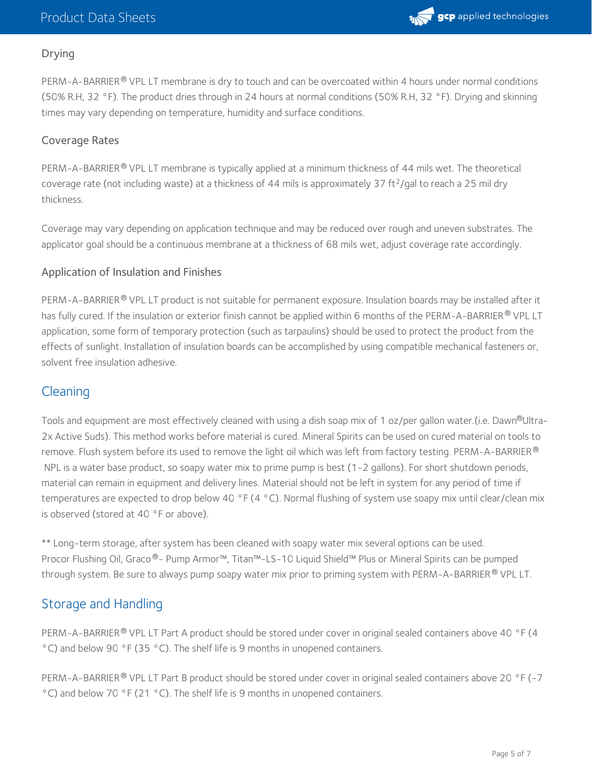#### Drying

PERM-A-BARRIER® VPL LT membrane is dry to touch and can be overcoated within 4 hours under normal conditions (50% R.H, 32 °F). The product dries through in 24 hours at normal conditions (50% R.H, 32 °F). Drying and skinning times may vary depending on temperature, humidity and surface conditions.

#### Coverage Rates

PERM-A-BARRIER® VPL LT membrane is typically applied at a minimum thickness of 44 mils wet. The theoretical coverage rate (not including waste) at a thickness of 44 mils is approximately 37 ft<sup>2</sup>/gal to reach a 25 mil dry thickness.

Coverage may vary depending on application technique and may be reduced over rough and uneven substrates. The applicator goal should be a continuous membrane at a thickness of 68 mils wet, adjust coverage rate accordingly.

#### Application of Insulation and Finishes

PERM-A-BARRIER® VPL LT product is not suitable for permanent exposure. Insulation boards may be installed after it has fully cured. If the insulation or exterior finish cannot be applied within 6 months of the PERM-A-BARRIER® VPL LT application, some form of temporary protection (such as tarpaulins) should be used to protect the product from the effects of sunlight. Installation of insulation boards can be accomplished by using compatible mechanical fasteners or, solvent free insulation adhesive.

## **Cleaning**

Tools and equipment are most effectively cleaned with using a dish soap mix of 1 oz/per gallon water.(i.e. Dawn®Ultra-2x Active Suds). This method works before material is cured. Mineral Spirits can be used on cured material on tools to remove. Flush system before its used to remove the light oil which was left from factory testing. PERM-A-BARRIER ® NPL is a water base product, so soapy water mix to prime pump is best (1-2 gallons). For short shutdown periods, material can remain in equipment and delivery lines. Material should not be left in system for any period of time if temperatures are expected to drop below 40 °F (4 °C). Normal flushing of system use soapy mix until clear/clean mix is observed (stored at 40 °F or above).

\*\* Long-term storage, after system has been cleaned with soapy water mix several options can be used. Procor Flushing Oil, Graco®- Pump Armor™, Titan™-LS-10 Liquid Shield™ Plus or Mineral Spirits can be pumped through system. Be sure to always pump soapy water mix prior to priming system with PERM-A-BARRIER® VPL LT.

## Storage and Handling

PERM-A-BARRIER® VPL LT Part A product should be stored under cover in original sealed containers above 40 °F (4 °C) and below 90 °F (35 °C). The shelf life is 9 months in unopened containers.

PERM-A-BARRIER® VPL LT Part B product should be stored under cover in original sealed containers above 20 °F (-7 °C) and below 70 °F (21 °C). The shelf life is 9 months in unopened containers.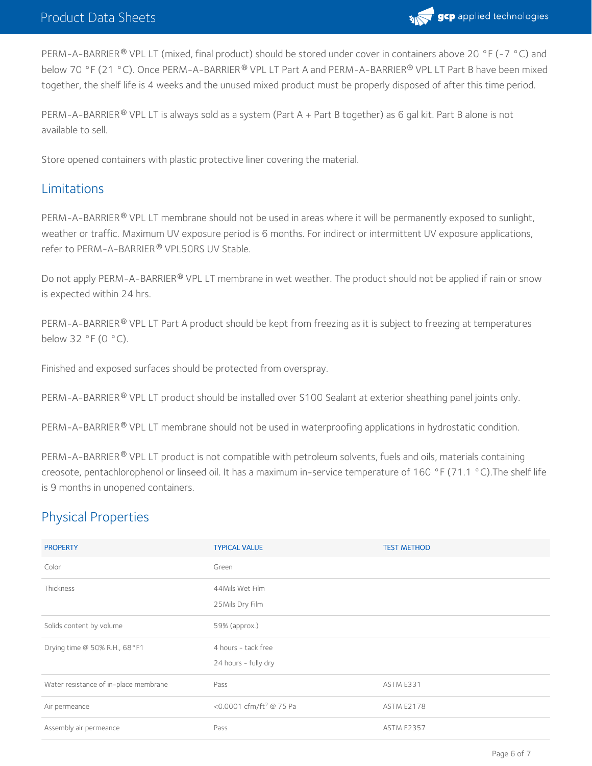

PERM-A-BARRIER® VPL LT (mixed, final product) should be stored under cover in containers above 20 °F (-7 °C) and below 70 °F (21 °C). Once PERM-A-BARRIER® VPL LT Part A and PERM-A-BARRIER® VPL LT Part B have been mixed together, the shelf life is 4 weeks and the unused mixed product must be properly disposed of after this time period.

PERM-A-BARRIER® VPL LT is always sold as a system (Part A + Part B together) as 6 gal kit. Part B alone is not available to sell.

Store opened containers with plastic protective liner covering the material.

### Limitations

PERM-A-BARRIER ® VPL LT membrane should not be used in areas where it will be permanently exposed to sunlight, weather or traffic. Maximum UV exposure period is 6 months. For indirect or intermittent UV exposure applications, refer to PERM-A-BARRIER® VPL50RS UV Stable.

Do not apply PERM-A-BARRIER® VPL LT membrane in wet weather. The product should not be applied if rain or snow is expected within 24 hrs.

PERM-A-BARRIER® VPL LT Part A product should be kept from freezing as it is subject to freezing at temperatures below 32 °F (0 °C).

Finished and exposed surfaces should be protected from overspray.

PERM-A-BARRIER® VPL LT product should be installed over S100 Sealant at exterior sheathing panel joints only.

PERM-A-BARRIER® VPL LT membrane should not be used in waterproofing applications in hydrostatic condition.

PERM-A-BARRIER® VPL LT product is not compatible with petroleum solvents, fuels and oils, materials containing creosote, pentachlorophenol or linseed oil. It has a maximum in-service temperature of 160 °F (71.1 °C).The shelf life is 9 months in unopened containers.

## Physical Properties

| <b>PROPERTY</b>                       | <b>TYPICAL VALUE</b>                        | <b>TEST METHOD</b> |
|---------------------------------------|---------------------------------------------|--------------------|
| Color                                 | Green                                       |                    |
| Thickness                             | 44Mils Wet Film<br>25 Mils Dry Film         |                    |
| Solids content by volume              | 59% (approx.)                               |                    |
| Drying time @ 50% R.H., 68°F1         | 4 hours - tack free<br>24 hours - fully dry |                    |
| Water resistance of in-place membrane | Pass                                        | ASTM E331          |
| Air permeance                         | <0.0001 cfm/ft <sup>2</sup> @ 75 Pa         | <b>ASTM E2178</b>  |
| Assembly air permeance                | Pass                                        | <b>ASTM E2357</b>  |